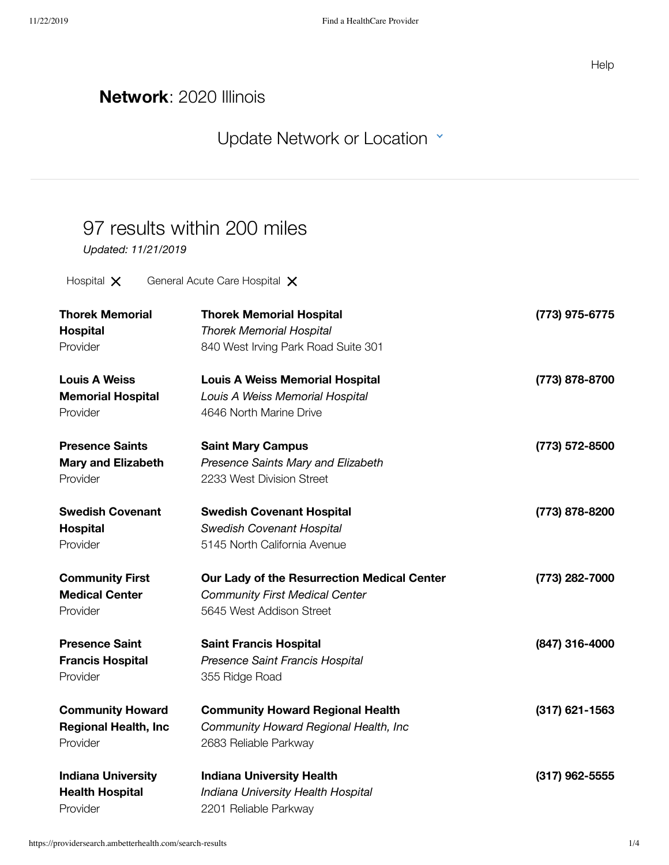## **Network**: 2020 Illinois

## Update [Network or](https://providersearch.ambetterhealth.com/) Location  $\cdot$

## 97 results within 200 miles

*Updated: 11/21/2019*

Hospital  $\times$  General Acute Care Hospital  $\times$ 

| <b>Thorek Memorial</b>      | <b>Thorek Memorial Hospital</b>             | (773) 975-6775   |
|-----------------------------|---------------------------------------------|------------------|
| Hospital                    | <b>Thorek Memorial Hospital</b>             |                  |
| Provider                    | 840 West Irving Park Road Suite 301         |                  |
| <b>Louis A Weiss</b>        | <b>Louis A Weiss Memorial Hospital</b>      | (773) 878-8700   |
| <b>Memorial Hospital</b>    | Louis A Weiss Memorial Hospital             |                  |
| Provider                    | 4646 North Marine Drive                     |                  |
| <b>Presence Saints</b>      | <b>Saint Mary Campus</b>                    | (773) 572-8500   |
| <b>Mary and Elizabeth</b>   | Presence Saints Mary and Elizabeth          |                  |
| Provider                    | 2233 West Division Street                   |                  |
| <b>Swedish Covenant</b>     | <b>Swedish Covenant Hospital</b>            | (773) 878-8200   |
| Hospital                    | <b>Swedish Covenant Hospital</b>            |                  |
| Provider                    | 5145 North California Avenue                |                  |
| <b>Community First</b>      | Our Lady of the Resurrection Medical Center | (773) 282-7000   |
| <b>Medical Center</b>       | <b>Community First Medical Center</b>       |                  |
| Provider                    | 5645 West Addison Street                    |                  |
| <b>Presence Saint</b>       | <b>Saint Francis Hospital</b>               | (847) 316-4000   |
| <b>Francis Hospital</b>     | Presence Saint Francis Hospital             |                  |
| Provider                    | 355 Ridge Road                              |                  |
| <b>Community Howard</b>     | <b>Community Howard Regional Health</b>     | $(317)$ 621-1563 |
| <b>Regional Health, Inc</b> | Community Howard Regional Health, Inc       |                  |
| Provider                    | 2683 Reliable Parkway                       |                  |
| <b>Indiana University</b>   | <b>Indiana University Health</b>            | $(317)$ 962-5555 |
| <b>Health Hospital</b>      | Indiana University Health Hospital          |                  |
| Provider                    | 2201 Reliable Parkway                       |                  |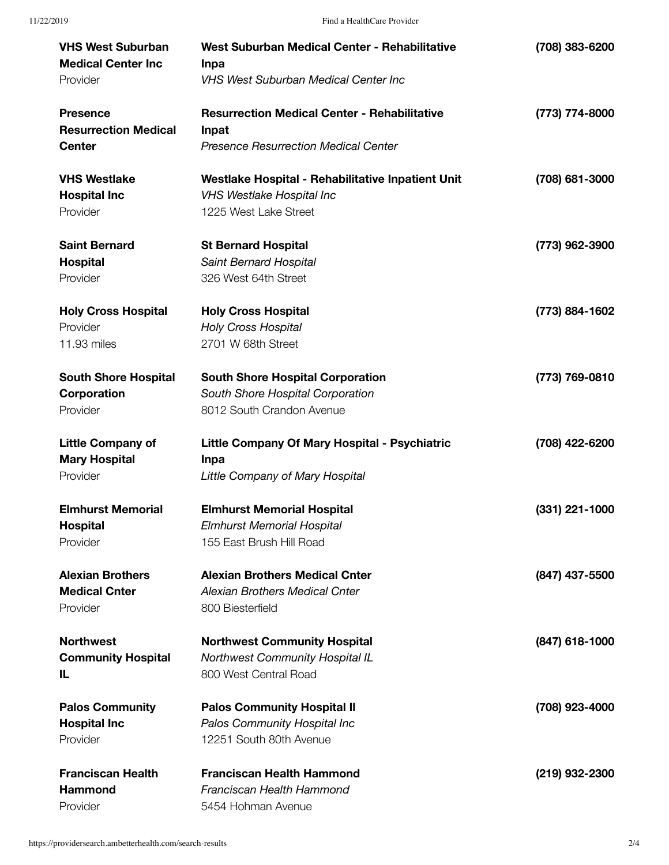| <b>VHS West Suburban</b>    | West Suburban Medical Center - Rehabilitative       | (708) 383-6200   |
|-----------------------------|-----------------------------------------------------|------------------|
| <b>Medical Center Inc</b>   | <b>Inpa</b>                                         |                  |
| Provider                    | <b>VHS West Suburban Medical Center Inc</b>         |                  |
| <b>Presence</b>             | <b>Resurrection Medical Center - Rehabilitative</b> | (773) 774-8000   |
| <b>Resurrection Medical</b> | Inpat                                               |                  |
| <b>Center</b>               | <b>Presence Resurrection Medical Center</b>         |                  |
| <b>VHS Westlake</b>         | Westlake Hospital - Rehabilitative Inpatient Unit   | (708) 681-3000   |
| <b>Hospital Inc</b>         | <b>VHS Westlake Hospital Inc</b>                    |                  |
| Provider                    | 1225 West Lake Street                               |                  |
| <b>Saint Bernard</b>        | <b>St Bernard Hospital</b>                          | (773) 962-3900   |
| <b>Hospital</b>             | Saint Bernard Hospital                              |                  |
| Provider                    | 326 West 64th Street                                |                  |
| <b>Holy Cross Hospital</b>  | <b>Holy Cross Hospital</b>                          | (773) 884-1602   |
| Provider                    | <b>Holy Cross Hospital</b>                          |                  |
| 11.93 miles                 | 2701 W 68th Street                                  |                  |
| <b>South Shore Hospital</b> | <b>South Shore Hospital Corporation</b>             | (773) 769-0810   |
| Corporation                 | South Shore Hospital Corporation                    |                  |
| Provider                    | 8012 South Crandon Avenue                           |                  |
|                             |                                                     |                  |
| <b>Little Company of</b>    | Little Company Of Mary Hospital - Psychiatric       | (708) 422-6200   |
| <b>Mary Hospital</b>        | Inpa                                                |                  |
| Provider                    | Little Company of Mary Hospital                     |                  |
| <b>Elmhurst Memorial</b>    | <b>Elmhurst Memorial Hospital</b>                   | $(331)$ 221-1000 |
| <b>Hospital</b>             | <b>Elmhurst Memorial Hospital</b>                   |                  |
| Provider                    | 155 East Brush Hill Road                            |                  |
| <b>Alexian Brothers</b>     | <b>Alexian Brothers Medical Cnter</b>               | (847) 437-5500   |
| <b>Medical Cnter</b>        | <b>Alexian Brothers Medical Cnter</b>               |                  |
| Provider                    | 800 Biesterfield                                    |                  |
| <b>Northwest</b>            | <b>Northwest Community Hospital</b>                 | (847) 618-1000   |
| <b>Community Hospital</b>   | Northwest Community Hospital IL                     |                  |
| IL                          | 800 West Central Road                               |                  |
| <b>Palos Community</b>      | <b>Palos Community Hospital II</b>                  | (708) 923-4000   |
| <b>Hospital Inc</b>         | Palos Community Hospital Inc                        |                  |
| Provider                    | 12251 South 80th Avenue                             |                  |
| <b>Franciscan Health</b>    | <b>Franciscan Health Hammond</b>                    | (219) 932-2300   |
| <b>Hammond</b>              | Franciscan Health Hammond                           |                  |